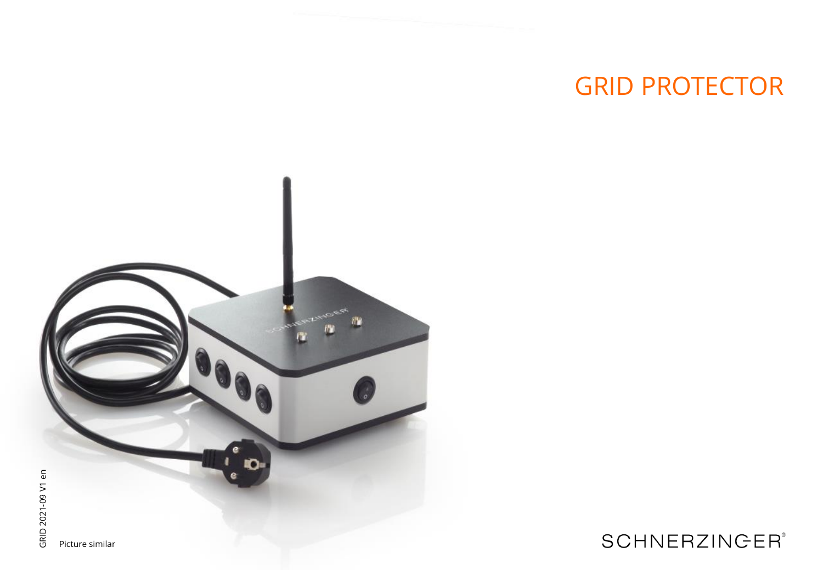# **GRID PROTECTOR**



## **SCHNERZINGER®**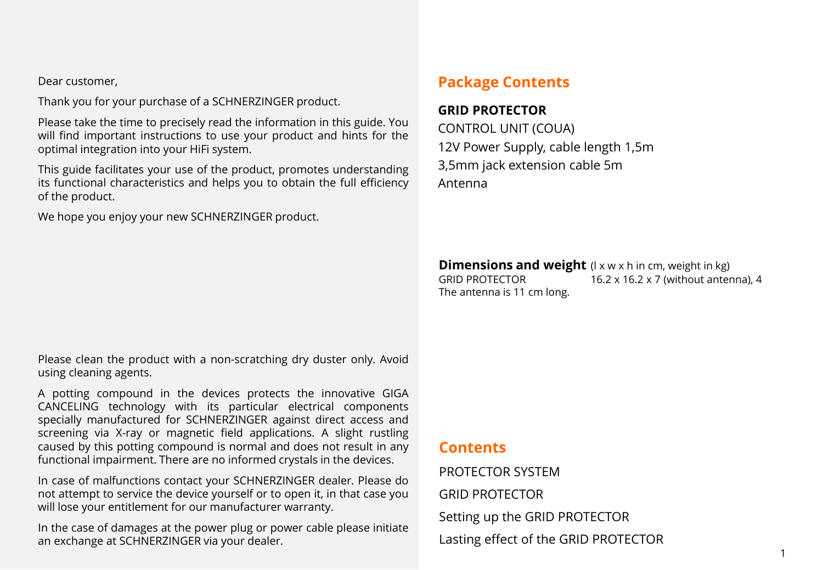Dear customer,

Thank you for your purchase of a SCHNERZINGER product.

Please take the time to precisely read the information in this guide. You will find important instructions to use your product and hints for the optimal integration into your HiFi system.

This guide facilitates your use of the product, promotes understanding its functional characteristics and helps you to obtain the full efficiency of the product.

We hope you enjoy your new SCHNERZINGER product.

### **Package Contents**

### **GRID PROTECTOR**

CONTROL UNIT (COUA) 12V Power Supply, cable length 1,5m 3,5mm jack extension cable 5m Antenna

**Dimensions and weight** (I x w x h in cm, weight in kg)<br>GRID PROTECTOR 16.2 x 16.2 x 7 (without anter 16.2 x 16.2 x 7 (without antenna), 4 The antenna is 11 cm long.

Please clean the product with a non-scratching dry duster only. Avoid using cleaning agents.

A potting compound in the devices protects the innovative GIGA CANCELING technology with its particular electrical components specially manufactured for SCHNERZINGER against direct access and screening via X-ray or magnetic field applications. A slight rustling caused by this potting compound is normal and does not result in any functional impairment. There are no informed crystals in the devices.

In case of malfunctions contact your SCHNERZINGER dealer. Please do not attempt to service the device yourself or to open it, in that case you will lose your entitlement for our manufacturer warranty.

In the case of damages at the power plug or power cable please initiate an exchange at SCHNERZINGER via your dealer.

### **Contents**

PROTECTOR SYSTEM GRID PROTECTOR Setting up the GRID PROTECTOR Lasting effect of the GRID PROTECTOR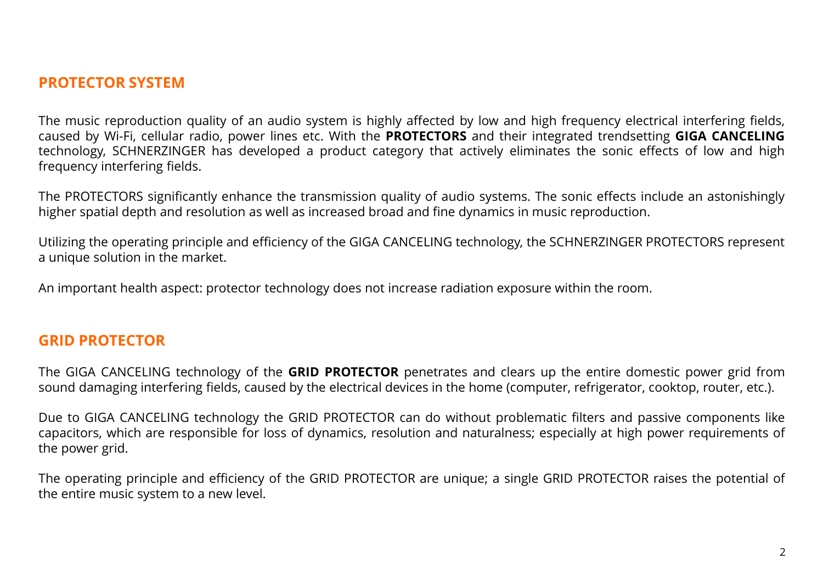### **PROTECTOR SYSTEM**

The music reproduction quality of an audio system is highly affected by low and high frequency electrical interfering fields, caused by Wi-Fi, cellular radio, power lines etc. With the **PROTECTORS** and their integrated trendsetting **GIGA CANCELING** technology, SCHNERZINGER has developed a product category that actively eliminates the sonic effects of low and high frequency interfering fields.

The PROTECTORS significantly enhance the transmission quality of audio systems. The sonic effects include an astonishingly higher spatial depth and resolution as well as increased broad and fine dynamics in music reproduction.

Utilizing the operating principle and efficiency of the GIGA CANCELING technology, the SCHNERZINGER PROTECTORS represent a unique solution in the market.

An important health aspect: protector technology does not increase radiation exposure within the room.

### **GRID PROTECTOR**

The GIGA CANCELING technology of the **GRID PROTECTOR** penetrates and clears up the entire domestic power grid from sound damaging interfering fields, caused by the electrical devices in the home (computer, refrigerator, cooktop, router, etc.).

Due to GIGA CANCELING technology the GRID PROTECTOR can do without problematic filters and passive components like capacitors, which are responsible for loss of dynamics, resolution and naturalness; especially at high power requirements of the power grid.

The operating principle and efficiency of the GRID PROTECTOR are unique; a single GRID PROTECTOR raises the potential of the entire music system to a new level.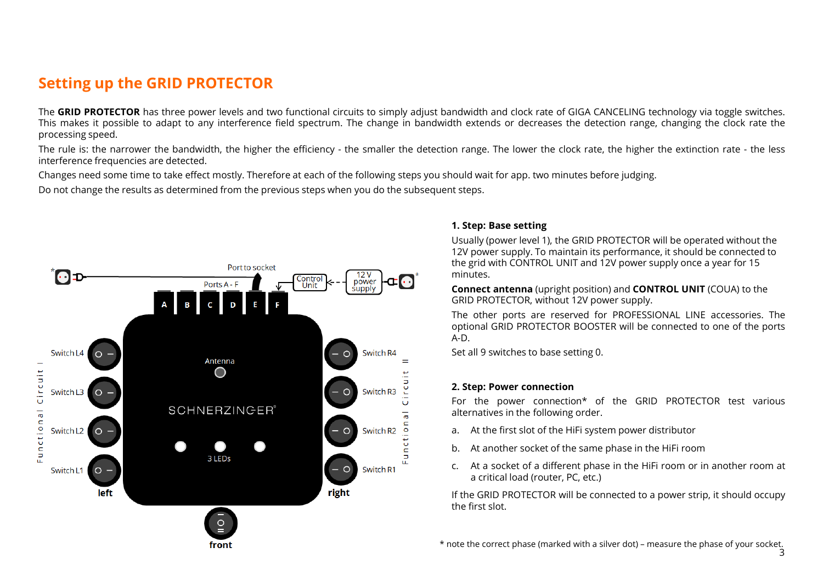### **Setting up the GRID PROTECTOR**

The **GRID PROTECTOR** has three power levels and two functional circuits to simply adjust bandwidth and clock rate of GIGA CANCELING technology via toggle switches. This makes it possible to adapt to any interference field spectrum. The change in bandwidth extends or decreases the detection range, changing the clock rate the processing speed.

The rule is: the narrower the bandwidth, the higher the efficiency - the smaller the detection range. The lower the clock rate, the higher the extinction rate - the less interference frequencies are detected.

Changes need some time to take effect mostly. Therefore at each of the following steps you should wait for app. two minutes before judging.

Do not change the results as determined from the previous steps when you do the subsequent steps.



#### **1. Step: Base setting**

Usually (power level 1), the GRID PROTECTOR will be operated without the 12V power supply. To maintain its performance, it should be connected to the grid with CONTROL UNIT and 12V power supply once a year for 15 minutes.

**Connect antenna** (upright position) and **CONTROL UNIT** (COUA) to the GRID PROTECTOR, without 12V power supply.

The other ports are reserved for PROFESSIONAL LINE accessories. The optional GRID PROTECTOR BOOSTER will be connected to one of the ports A-D.

Set all 9 switches to base setting 0.

#### **2. Step: Power connection**

For the power connection\* of the GRID PROTECTOR test various alternatives in the following order.

- a. At the first slot of the HiFi system power distributor
- b. At another socket of the same phase in the HiFi room
- c. At a socket of a different phase in the HiFi room or in another room at a critical load (router, PC, etc.)

If the GRID PROTECTOR will be connected to a power strip, it should occupy the first slot.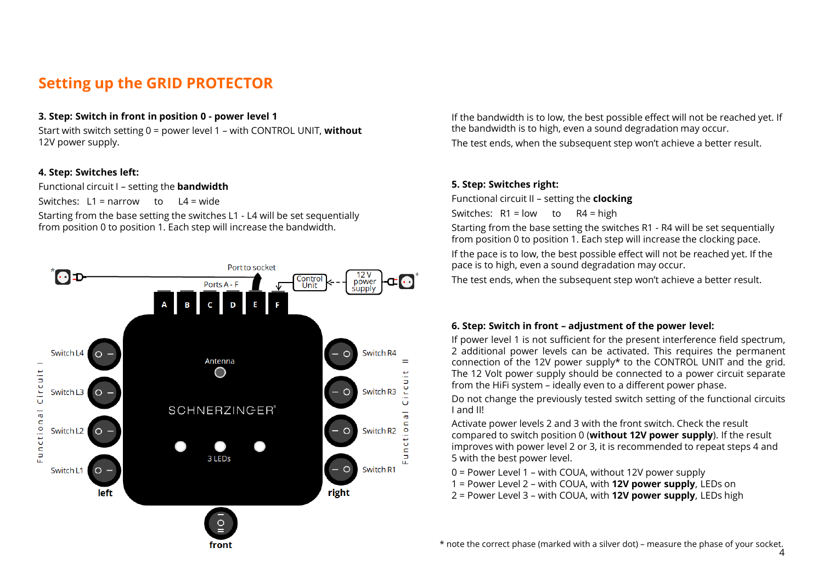### **Setting up the GRID PROTECTOR**

#### **3. Step: Switch in front in position 0 - power level 1**

Start with switch setting 0 = power level 1 – with CONTROL UNIT, **without**  12V power supply.

#### **4. Step: Switches left:**

Functional circuit I – setting the **bandwidth**

Switches:  $L1 =$  narrow to  $L4 =$  wide

Starting from the base setting the switches L1 - L4 will be set sequentially from position 0 to position 1. Each step will increase the bandwidth.



If the bandwidth is to low, the best possible effect will not be reached yet. If the bandwidth is to high, even a sound degradation may occur. The test ends, when the subsequent step won't achieve a better result.

#### **5. Step: Switches right:**

Functional circuit II – setting the **clocking** Switches:  $R1 = low$  to  $R4 = high$ 

Starting from the base setting the switches R1 - R4 will be set sequentially from position 0 to position 1. Each step will increase the clocking pace. If the pace is to low, the best possible effect will not be reached yet. If the pace is to high, even a sound degradation may occur.

The test ends, when the subsequent step won't achieve a better result.

#### **6. Step: Switch in front – adjustment of the power level:**

If power level 1 is not sufficient for the present interference field spectrum, 2 additional power levels can be activated. This requires the permanent connection of the 12V power supply\* to the CONTROL UNIT and the grid. The 12 Volt power supply should be connected to a power circuit separate from the HiFi system – ideally even to a different power phase.

Do not change the previously tested switch setting of the functional circuits I and II!

Activate power levels 2 and 3 with the front switch. Check the result compared to switch position 0 (**without 12V power supply**). If the result improves with power level 2 or 3, it is recommended to repeat steps 4 and 5 with the best power level.

0 = Power Level 1 – with COUA, without 12V power supply

- 1 = Power Level 2 with COUA, with **12V power supply**, LEDs on
- 2 = Power Level 3 with COUA, with **12V power supply**, LEDs high